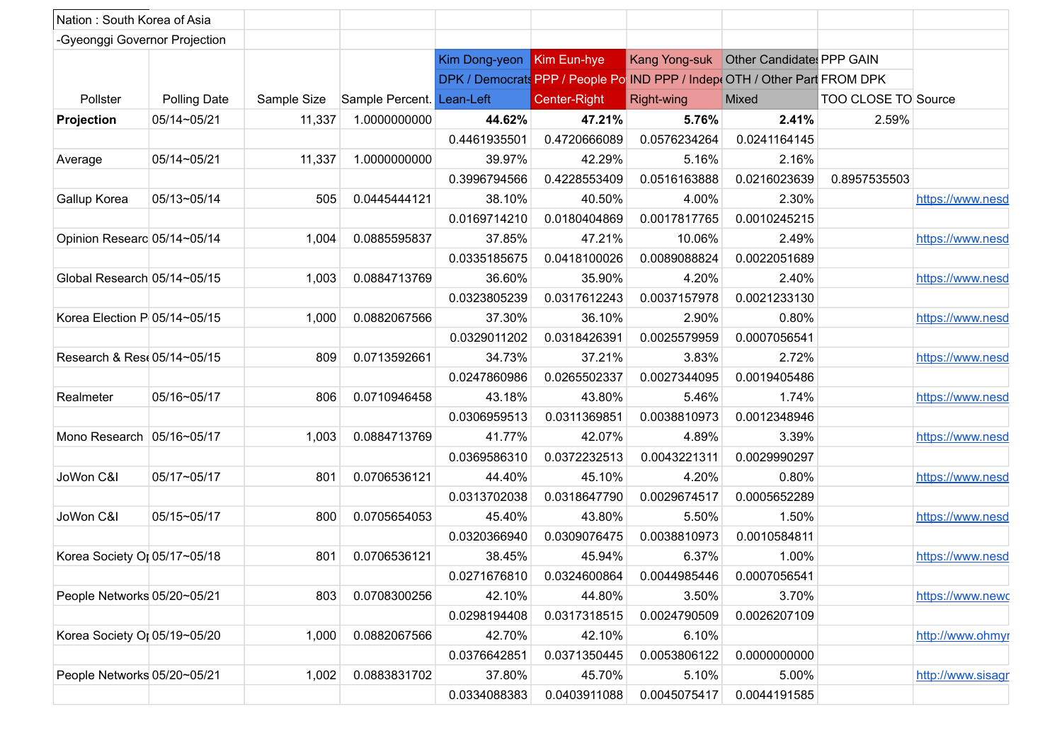| Nation: South Korea of Asia   |                     |             |                           |                           |                                                                            |                      |                                           |                     |
|-------------------------------|---------------------|-------------|---------------------------|---------------------------|----------------------------------------------------------------------------|----------------------|-------------------------------------------|---------------------|
| -Gyeonggi Governor Projection |                     |             |                           |                           |                                                                            |                      |                                           |                     |
|                               |                     |             |                           | Kim Dong-yeon Kim Eun-hye |                                                                            |                      | Kang Yong-suk   Other Candidates PPP GAIN |                     |
|                               |                     |             |                           |                           | DPK / Democrats PPP / People Po IND PPP / Indep (OTH / Other Part FROM DPK |                      |                                           |                     |
| Pollster                      | <b>Polling Date</b> | Sample Size | Sample Percent. Lean-Left |                           | Center-Right                                                               | Right-wing           | Mixed                                     | TOO CLOSE TO Source |
| Projection                    | 05/14~05/21         | 11,337      | 1.0000000000              | 44.62%                    | 47.21%                                                                     | 5.76%                | 2.41%                                     | 2.59%               |
|                               |                     |             |                           | 0.4461935501              | 0.4720666089                                                               | 0.0576234264         | 0.0241164145                              |                     |
| Average                       | 05/14~05/21         | 11,337      | 1.0000000000              | 39.97%                    | 42.29%                                                                     | 5.16%                | 2.16%                                     |                     |
|                               |                     |             |                           | 0.3996794566              | 0.4228553409                                                               | 0.0516163888         | 0.0216023639                              | 0.8957535503        |
| Gallup Korea                  | $ 05/13 - 05/14 $   | 505         | 0.0445444121              | 38.10%                    | 40.50%                                                                     | 4.00%                | 2.30%                                     | https://www.nesd    |
|                               |                     |             |                           | 0.0169714210              | 0.0180404869                                                               | 0.0017817765         | 0.0010245215                              |                     |
| Opinion Researc 05/14~05/14   |                     | 1,004       | 0.0885595837              | 37.85%                    | 47.21%                                                                     | 10.06%               | 2.49%                                     | https://www.nesd    |
|                               |                     |             |                           | 0.0335185675              | 0.0418100026                                                               | 0.0089088824         | 0.0022051689                              |                     |
| Global Research 05/14~05/15   |                     | 1,003       | 0.0884713769              | 36.60%                    | 35.90%                                                                     | 4.20%                | 2.40%                                     | https://www.nesd    |
|                               |                     |             |                           | 0.0323805239              | 0.0317612243                                                               | 0.0037157978         | 0.0021233130                              |                     |
| Korea Election P 05/14~05/15  |                     | 1,000       | 0.0882067566              | 37.30%                    | 36.10%                                                                     | 2.90%                | 0.80%                                     | https://www.nesd    |
|                               |                     |             |                           | 0.0329011202              | 0.0318426391                                                               | 0.0025579959         | 0.0007056541                              |                     |
| Research & Res. 05/14~05/15   |                     | 809         | 0.0713592661              | 34.73%                    | 37.21%                                                                     | 3.83%                | 2.72%                                     | https://www.nesd    |
|                               |                     |             |                           | 0.0247860986              | 0.0265502337                                                               | 0.0027344095         | 0.0019405486                              |                     |
| Realmeter                     | 05/16~05/17         | 806         | 0.0710946458              | 43.18%                    | 43.80%                                                                     | 5.46%                | 1.74%                                     | https://www.nesd    |
|                               |                     |             |                           | 0.0306959513              | 0.0311369851                                                               | 0.0038810973         | 0.0012348946                              |                     |
| Mono Research 05/16~05/17     |                     | 1,003       | 0.0884713769              | 41.77%                    | 42.07%                                                                     | 4.89%                | 3.39%                                     | https://www.nesd    |
|                               |                     |             |                           | 0.0369586310              | 0.0372232513                                                               | 0.0043221311         | 0.0029990297                              |                     |
| JoWon C&I                     | 05/17~05/17         | 801         | 0.0706536121              | 44.40%                    | 45.10%                                                                     | 4.20%                | 0.80%                                     | https://www.nesd    |
|                               |                     |             |                           | 0.0313702038              | 0.0318647790                                                               | 0.0029674517         | 0.0005652289                              |                     |
| JoWon C&I                     | 05/15~05/17         | 800         | 0.0705654053              | 45.40%                    | 43.80%                                                                     | 5.50%                | 1.50%                                     |                     |
|                               |                     |             |                           | 0.0320366940              | 0.0309076475                                                               | 0.0038810973         | 0.0010584811                              | https://www.nesd    |
|                               |                     |             |                           |                           |                                                                            |                      |                                           |                     |
| Korea Society Or 05/17~05/18  |                     | 801         | 0.0706536121              | 38.45%                    | 45.94%                                                                     | 6.37%                | 1.00%                                     | https://www.nesd    |
|                               |                     |             |                           |                           | 0.0271676810 0.0324600864                                                  | $\vert$ 0.0044985446 | 0.0007056541                              |                     |
| People Networks 05/20~05/21   |                     | 803         | 0.0708300256              | 42.10%                    | 44.80%                                                                     | 3.50%                | 3.70%                                     | https://www.newc    |
|                               |                     |             |                           | 0.0298194408              | 0.0317318515                                                               | 0.0024790509         | 0.0026207109                              |                     |
| Korea Society Or 05/19~05/20  |                     | 1,000       | 0.0882067566              | 42.70%                    | 42.10%                                                                     | 6.10%                |                                           | http://www.ohmyr    |
|                               |                     |             |                           | 0.0376642851              | 0.0371350445                                                               | 0.0053806122         | 0.0000000000                              |                     |
| People Networks 05/20~05/21   |                     | 1,002       | 0.0883831702              | 37.80%                    | 45.70%                                                                     | 5.10%                | 5.00%                                     | http://www.sisagr   |
|                               |                     |             |                           | 0.0334088383              | 0.0403911088                                                               | 0.0045075417         | 0.0044191585                              |                     |